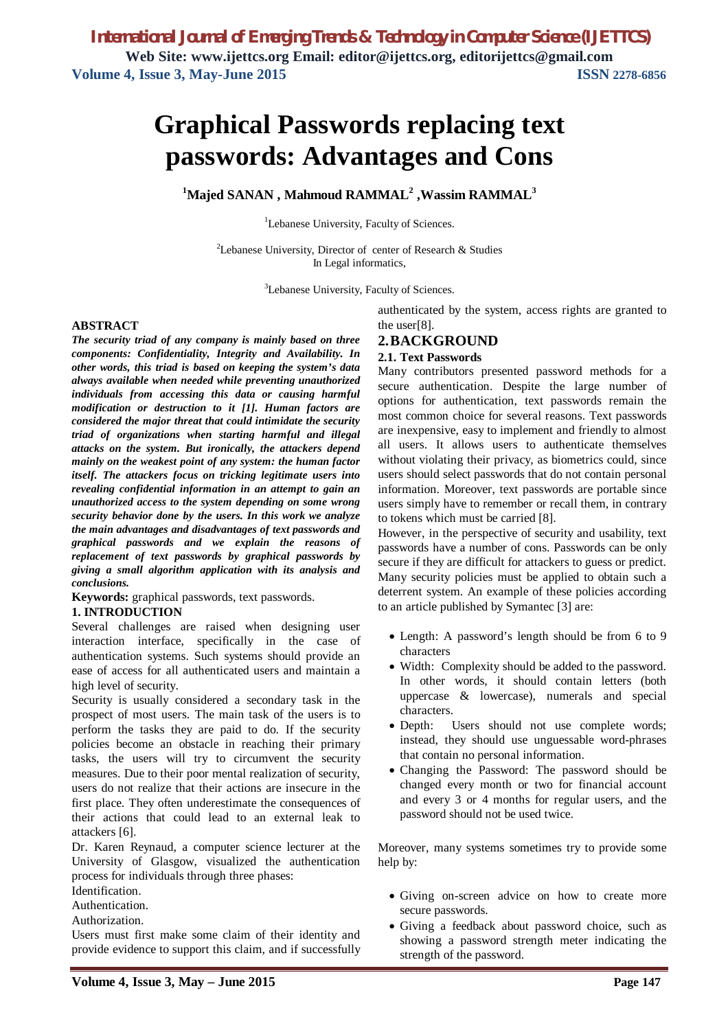# **Graphical Passwords replacing text passwords: Advantages and Cons**

**<sup>1</sup>Majed SANAN , Mahmoud RAMMAL<sup>2</sup> ,Wassim RAMMAL<sup>3</sup>**

<sup>1</sup>Lebanese University, Faculty of Sciences.

<sup>2</sup>Lebanese University, Director of center of Research  $\&$  Studies In Legal informatics,

<sup>3</sup>Lebanese University, Faculty of Sciences.

#### **ABSTRACT**

*The security triad of any company is mainly based on three components: Confidentiality, Integrity and Availability. In other words, this triad is based on keeping the system's data always available when needed while preventing unauthorized individuals from accessing this data or causing harmful modification or destruction to it [1]. Human factors are considered the major threat that could intimidate the security triad of organizations when starting harmful and illegal attacks on the system. But ironically, the attackers depend mainly on the weakest point of any system: the human factor itself. The attackers focus on tricking legitimate users into revealing confidential information in an attempt to gain an unauthorized access to the system depending on some wrong security behavior done by the users. In this work we analyze the main advantages and disadvantages of text passwords and graphical passwords and we explain the reasons of replacement of text passwords by graphical passwords by giving a small algorithm application with its analysis and conclusions.*

**Keywords:** graphical passwords, text passwords.

#### **1. INTRODUCTION**

Several challenges are raised when designing user interaction interface, specifically in the case of authentication systems. Such systems should provide an ease of access for all authenticated users and maintain a high level of security.

Security is usually considered a secondary task in the prospect of most users. The main task of the users is to perform the tasks they are paid to do. If the security policies become an obstacle in reaching their primary tasks, the users will try to circumvent the security measures. Due to their poor mental realization of security, users do not realize that their actions are insecure in the first place. They often underestimate the consequences of their actions that could lead to an external leak to attackers [6].

Dr. Karen Reynaud, a computer science lecturer at the University of Glasgow, visualized the authentication process for individuals through three phases:

Identification.

Authentication.

Authorization.

Users must first make some claim of their identity and provide evidence to support this claim, and if successfully authenticated by the system, access rights are granted to the user[8].

#### **2.BACKGROUND 2.1. Text Passwords**

Many contributors presented password methods for a secure authentication. Despite the large number of options for authentication, text passwords remain the most common choice for several reasons. Text passwords are inexpensive, easy to implement and friendly to almost all users. It allows users to authenticate themselves without violating their privacy, as biometrics could, since users should select passwords that do not contain personal information. Moreover, text passwords are portable since users simply have to remember or recall them, in contrary to tokens which must be carried [8].

However, in the perspective of security and usability, text passwords have a number of cons. Passwords can be only secure if they are difficult for attackers to guess or predict. Many security policies must be applied to obtain such a deterrent system. An example of these policies according to an article published by Symantec [3] are:

- Length: A password's length should be from 6 to 9 characters
- Width: Complexity should be added to the password. In other words, it should contain letters (both uppercase & lowercase), numerals and special characters.
- Depth: Users should not use complete words; instead, they should use unguessable word-phrases that contain no personal information.
- Changing the Password: The password should be changed every month or two for financial account and every 3 or 4 months for regular users, and the password should not be used twice.

Moreover, many systems sometimes try to provide some help by:

- Giving on-screen advice on how to create more secure passwords.
- Giving a feedback about password choice, such as showing a password strength meter indicating the strength of the password.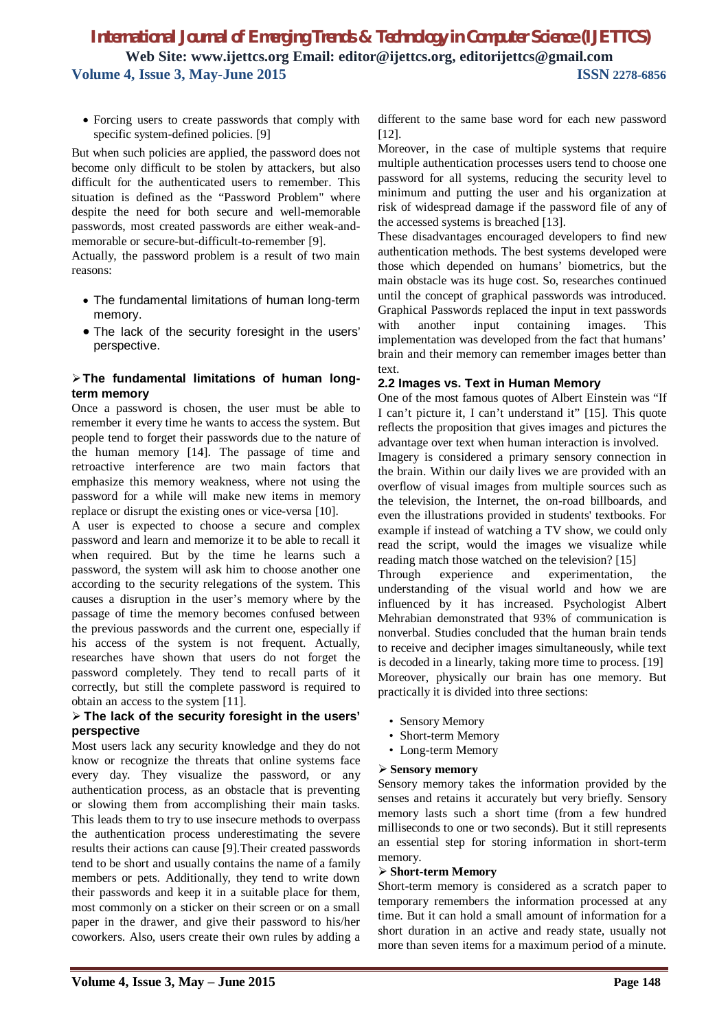• Forcing users to create passwords that comply with specific system-defined policies. [9]

But when such policies are applied, the password does not become only difficult to be stolen by attackers, but also difficult for the authenticated users to remember. This situation is defined as the "Password Problem" where despite the need for both secure and well-memorable passwords, most created passwords are either weak-andmemorable or secure-but-difficult-to-remember [9].

Actually, the password problem is a result of two main reasons:

- The fundamental limitations of human long-term memory.
- The lack of the security foresight in the users' perspective.

#### **The fundamental limitations of human longterm memory**

Once a password is chosen, the user must be able to remember it every time he wants to access the system. But people tend to forget their passwords due to the nature of the human memory [14]. The passage of time and retroactive interference are two main factors that emphasize this memory weakness, where not using the password for a while will make new items in memory replace or disrupt the existing ones or vice-versa [10].

A user is expected to choose a secure and complex password and learn and memorize it to be able to recall it when required. But by the time he learns such a password, the system will ask him to choose another one according to the security relegations of the system. This causes a disruption in the user's memory where by the passage of time the memory becomes confused between the previous passwords and the current one, especially if his access of the system is not frequent. Actually, researches have shown that users do not forget the password completely. They tend to recall parts of it correctly, but still the complete password is required to obtain an access to the system [11].

#### **The lack of the security foresight in the users' perspective**

Most users lack any security knowledge and they do not know or recognize the threats that online systems face every day. They visualize the password, or any authentication process, as an obstacle that is preventing or slowing them from accomplishing their main tasks. This leads them to try to use insecure methods to overpass the authentication process underestimating the severe results their actions can cause [9].Their created passwords tend to be short and usually contains the name of a family members or pets. Additionally, they tend to write down their passwords and keep it in a suitable place for them, most commonly on a sticker on their screen or on a small paper in the drawer, and give their password to his/her coworkers. Also, users create their own rules by adding a

different to the same base word for each new password [12].

Moreover, in the case of multiple systems that require multiple authentication processes users tend to choose one password for all systems, reducing the security level to minimum and putting the user and his organization at risk of widespread damage if the password file of any of the accessed systems is breached [13].

These disadvantages encouraged developers to find new authentication methods. The best systems developed were those which depended on humans' biometrics, but the main obstacle was its huge cost. So, researches continued until the concept of graphical passwords was introduced. Graphical Passwords replaced the input in text passwords with another input containing images. This implementation was developed from the fact that humans' brain and their memory can remember images better than text.

#### **2.2 Images vs. Text in Human Memory**

One of the most famous quotes of Albert Einstein was "If I can't picture it, I can't understand it" [15]. This quote reflects the proposition that gives images and pictures the advantage over text when human interaction is involved.

Imagery is considered a primary sensory connection in the brain. Within our daily lives we are provided with an overflow of visual images from multiple sources such as the television, the Internet, the on-road billboards, and even the illustrations provided in students' textbooks. For example if instead of watching a TV show, we could only read the script, would the images we visualize while reading match those watched on the television? [15]

Through experience and experimentation, the understanding of the visual world and how we are influenced by it has increased. Psychologist Albert Mehrabian demonstrated that 93% of communication is nonverbal. Studies concluded that the human brain tends to receive and decipher images simultaneously, while text is decoded in a linearly, taking more time to process. [19] Moreover, physically our brain has one memory. But practically it is divided into three sections:

- Sensory Memory
- Short-term Memory
- Long-term Memory

#### **Sensory memory**

Sensory memory takes the information provided by the senses and retains it accurately but very briefly. Sensory memory lasts such a short time (from a few hundred milliseconds to one or two seconds). But it still represents an essential step for storing information in short-term memory.

#### **Short-term Memory**

Short-term memory is considered as a scratch paper to temporary remembers the information processed at any time. But it can hold a small amount of information for a short duration in an active and ready state, usually not more than seven items for a maximum period of a minute.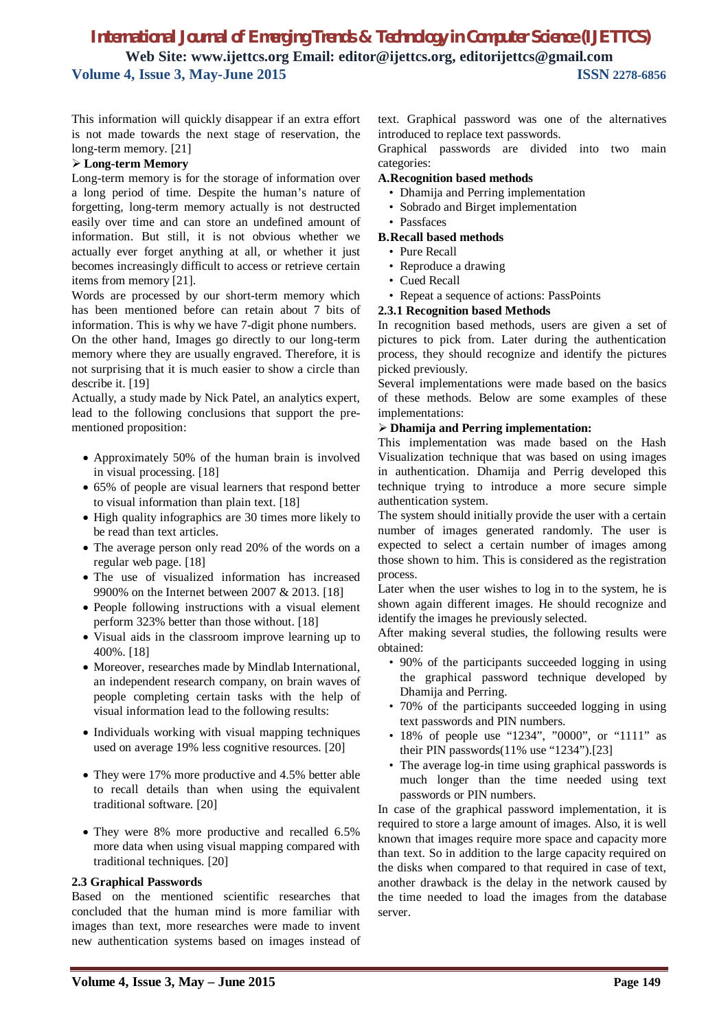This information will quickly disappear if an extra effort is not made towards the next stage of reservation, the long-term memory. [21]

#### **Long-term Memory**

Long-term memory is for the storage of information over a long period of time. Despite the human's nature of forgetting, long-term memory actually is not destructed easily over time and can store an undefined amount of information. But still, it is not obvious whether we actually ever forget anything at all, or whether it just becomes increasingly difficult to access or retrieve certain items from memory [21].

Words are processed by our short-term memory which has been mentioned before can retain about 7 bits of information. This is why we have 7-digit phone numbers.

On the other hand, Images go directly to our long-term memory where they are usually engraved. Therefore, it is not surprising that it is much easier to show a circle than describe it. [19]

Actually, a study made by Nick Patel, an analytics expert, lead to the following conclusions that support the prementioned proposition:

- Approximately 50% of the human brain is involved in visual processing. [18]
- 65% of people are visual learners that respond better to visual information than plain text. [18]
- High quality infographics are 30 times more likely to be read than text articles.
- The average person only read 20% of the words on a regular web page. [18]
- The use of visualized information has increased 9900% on the Internet between 2007 & 2013. [18]
- People following instructions with a visual element perform 323% better than those without. [18]
- Visual aids in the classroom improve learning up to 400%. [18]
- Moreover, researches made by Mindlab International, an independent research company, on brain waves of people completing certain tasks with the help of visual information lead to the following results:
- Individuals working with visual mapping techniques used on average 19% less cognitive resources. [20]
- They were 17% more productive and 4.5% better able to recall details than when using the equivalent traditional software. [20]
- They were 8% more productive and recalled 6.5% more data when using visual mapping compared with traditional techniques. [20]

#### **2.3 Graphical Passwords**

Based on the mentioned scientific researches that concluded that the human mind is more familiar with images than text, more researches were made to invent new authentication systems based on images instead of text. Graphical password was one of the alternatives introduced to replace text passwords.

Graphical passwords are divided into two main categories:

#### **A.Recognition based methods**

- Dhamija and Perring implementation
- Sobrado and Birget implementation
- Passfaces

#### **B.Recall based methods**

- Pure Recall
- Reproduce a drawing
- Cued Recall
- Repeat a sequence of actions: PassPoints

#### **2.3.1 Recognition based Methods**

In recognition based methods, users are given a set of pictures to pick from. Later during the authentication process, they should recognize and identify the pictures picked previously.

Several implementations were made based on the basics of these methods. Below are some examples of these implementations:

#### **Dhamija and Perring implementation:**

This implementation was made based on the Hash Visualization technique that was based on using images in authentication. Dhamija and Perrig developed this technique trying to introduce a more secure simple authentication system.

The system should initially provide the user with a certain number of images generated randomly. The user is expected to select a certain number of images among those shown to him. This is considered as the registration process.

Later when the user wishes to log in to the system, he is shown again different images. He should recognize and identify the images he previously selected.

After making several studies, the following results were obtained:

- 90% of the participants succeeded logging in using the graphical password technique developed by Dhamija and Perring.
- 70% of the participants succeeded logging in using text passwords and PIN numbers.
- 18% of people use "1234", "0000", or "1111" as their PIN passwords $(11\%$  use "1234").[23]
- The average log-in time using graphical passwords is much longer than the time needed using text passwords or PIN numbers.

In case of the graphical password implementation, it is required to store a large amount of images. Also, it is well known that images require more space and capacity more than text. So in addition to the large capacity required on the disks when compared to that required in case of text, another drawback is the delay in the network caused by the time needed to load the images from the database server.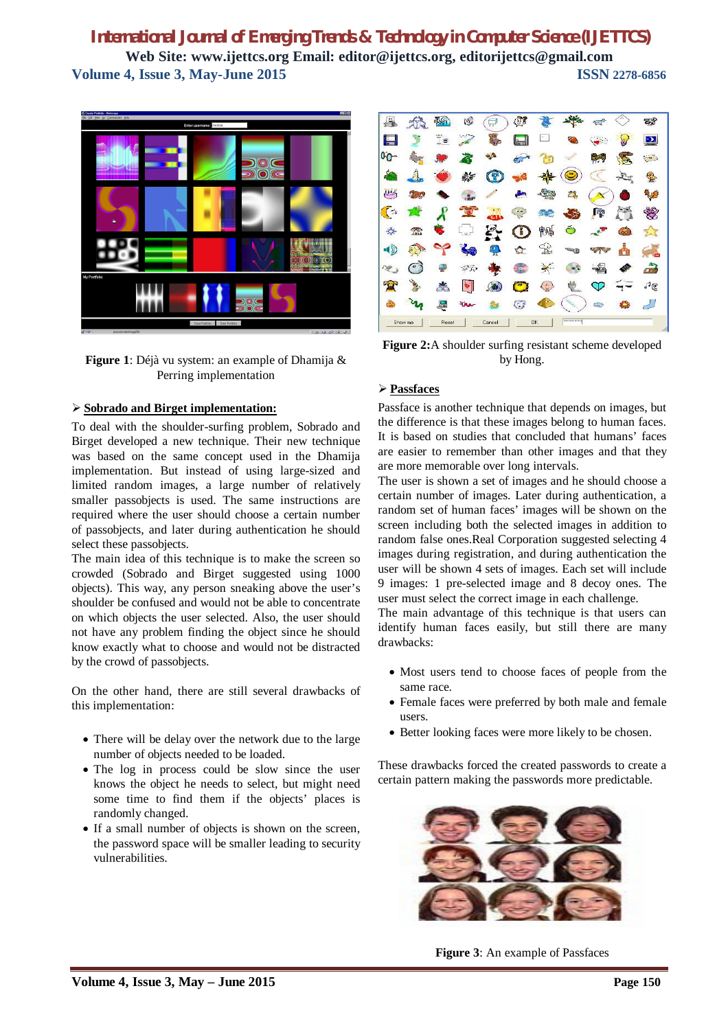

**Figure 1**: Déjà vu system: an example of Dhamija & Perring implementation

#### **Sobrado and Birget implementation:**

To deal with the shoulder-surfing problem, Sobrado and Birget developed a new technique. Their new technique was based on the same concept used in the Dhamija implementation. But instead of using large-sized and limited random images, a large number of relatively smaller passobjects is used. The same instructions are required where the user should choose a certain number of passobjects, and later during authentication he should select these passobjects.

The main idea of this technique is to make the screen so crowded (Sobrado and Birget suggested using 1000 objects). This way, any person sneaking above the user's shoulder be confused and would not be able to concentrate on which objects the user selected. Also, the user should not have any problem finding the object since he should know exactly what to choose and would not be distracted by the crowd of passobjects.

On the other hand, there are still several drawbacks of this implementation:

- There will be delay over the network due to the large number of objects needed to be loaded.
- The log in process could be slow since the user knows the object he needs to select, but might need some time to find them if the objects' places is randomly changed.
- If a small number of objects is shown on the screen, the password space will be smaller leading to security vulnerabilities.



**Figure 2:**A shoulder surfing resistant scheme developed by Hong.

#### **Passfaces**

Passface is another technique that depends on images, but the difference is that these images belong to human faces. It is based on studies that concluded that humans' faces are easier to remember than other images and that they are more memorable over long intervals.

The user is shown a set of images and he should choose a certain number of images. Later during authentication, a random set of human faces' images will be shown on the screen including both the selected images in addition to random false ones.Real Corporation suggested selecting 4 images during registration, and during authentication the user will be shown 4 sets of images. Each set will include 9 images: 1 pre-selected image and 8 decoy ones. The user must select the correct image in each challenge.

The main advantage of this technique is that users can identify human faces easily, but still there are many drawbacks:

- Most users tend to choose faces of people from the same race.
- Female faces were preferred by both male and female users.
- Better looking faces were more likely to be chosen.

These drawbacks forced the created passwords to create a certain pattern making the passwords more predictable.



**Figure 3**: An example of Passfaces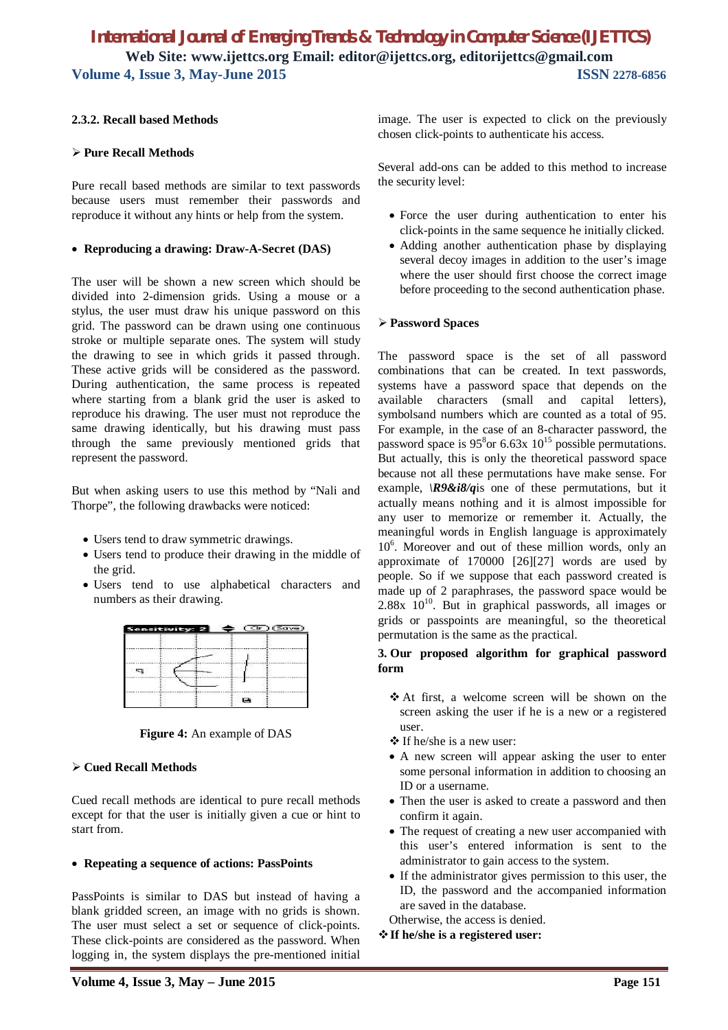#### **2.3.2. Recall based Methods**

#### **Pure Recall Methods**

Pure recall based methods are similar to text passwords because users must remember their passwords and reproduce it without any hints or help from the system.

#### **Reproducing a drawing: Draw-A-Secret (DAS)**

The user will be shown a new screen which should be divided into 2-dimension grids. Using a mouse or a stylus, the user must draw his unique password on this grid. The password can be drawn using one continuous stroke or multiple separate ones. The system will study the drawing to see in which grids it passed through. These active grids will be considered as the password. During authentication, the same process is repeated where starting from a blank grid the user is asked to reproduce his drawing. The user must not reproduce the same drawing identically, but his drawing must pass through the same previously mentioned grids that represent the password.

But when asking users to use this method by "Nali and Thorpe", the following drawbacks were noticed:

- Users tend to draw symmetric drawings.
- Users tend to produce their drawing in the middle of the grid.
- Users tend to use alphabetical characters and numbers as their drawing.

|     | Sensitivity: 2 |  |  |
|-----|----------------|--|--|
| --- |                |  |  |
|     |                |  |  |

**Figure 4:** An example of DAS

#### **Cued Recall Methods**

Cued recall methods are identical to pure recall methods except for that the user is initially given a cue or hint to start from.

#### **Repeating a sequence of actions: PassPoints**

PassPoints is similar to DAS but instead of having a blank gridded screen, an image with no grids is shown. The user must select a set or sequence of click-points. These click-points are considered as the password. When logging in, the system displays the pre-mentioned initial

Several add-ons can be added to this method to increase the security level:

- Force the user during authentication to enter his click-points in the same sequence he initially clicked.
- Adding another authentication phase by displaying several decoy images in addition to the user's image where the user should first choose the correct image before proceeding to the second authentication phase.

#### **Password Spaces**

The password space is the set of all password combinations that can be created. In text passwords, systems have a password space that depends on the available characters (small and capital letters), symbolsand numbers which are counted as a total of 95. For example, in the case of an 8-character password, the password space is  $95^8$ or 6.63x  $10^{15}$  possible permutations. But actually, this is only the theoretical password space because not all these permutations have make sense. For example, *\R9&i8/q*is one of these permutations, but it actually means nothing and it is almost impossible for any user to memorize or remember it. Actually, the meaningful words in English language is approximately 10<sup>6</sup> . Moreover and out of these million words, only an approximate of 170000 [26][27] words are used by people. So if we suppose that each password created is made up of 2 paraphrases, the password space would be  $2.88x$   $10^{10}$ . But in graphical passwords, all images or grids or passpoints are meaningful, so the theoretical permutation is the same as the practical.

#### **3. Our proposed algorithm for graphical password form**

- At first, a welcome screen will be shown on the screen asking the user if he is a new or a registered user.
- $\triangle$  If he/she is a new user:
- A new screen will appear asking the user to enter some personal information in addition to choosing an ID or a username.
- Then the user is asked to create a password and then confirm it again.
- The request of creating a new user accompanied with this user's entered information is sent to the administrator to gain access to the system.
- If the administrator gives permission to this user, the ID, the password and the accompanied information are saved in the database.

Otherwise, the access is denied.

**If he/she is a registered user:**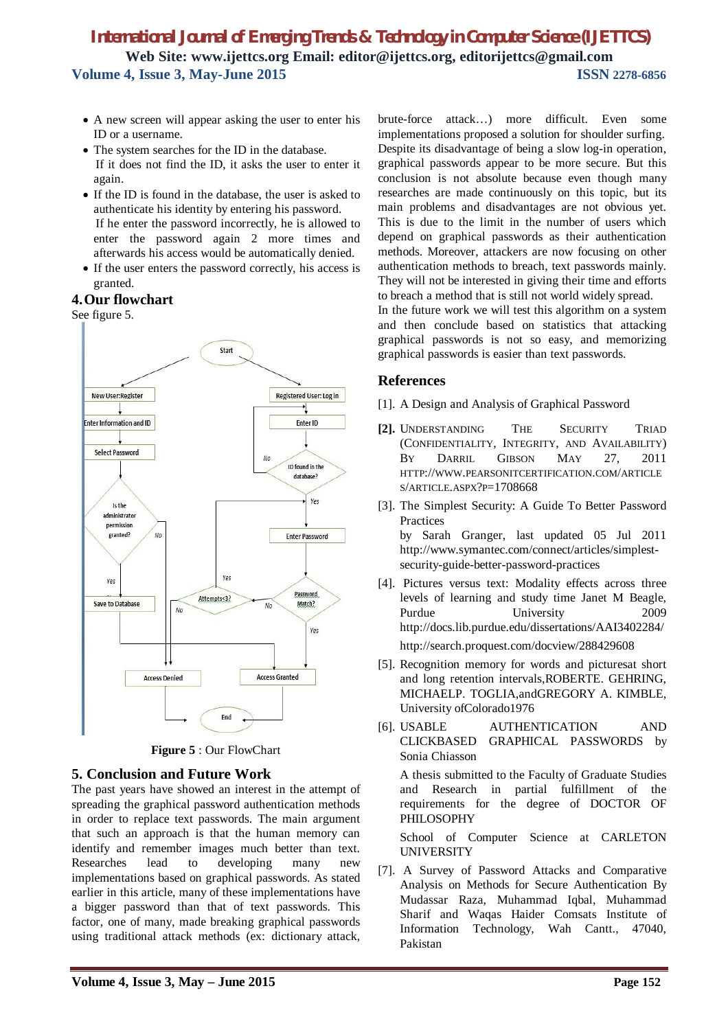- A new screen will appear asking the user to enter his ID or a username.
- The system searches for the ID in the database. If it does not find the ID, it asks the user to enter it again.
- If the ID is found in the database, the user is asked to authenticate his identity by entering his password. If he enter the password incorrectly, he is allowed to enter the password again 2 more times and afterwards his access would be automatically denied.
- If the user enters the password correctly, his access is granted.

#### **4.Our flowchart**

See figure 5.



**Figure 5** : Our FlowChart

## **5. Conclusion and Future Work**

The past years have showed an interest in the attempt of spreading the graphical password authentication methods in order to replace text passwords. The main argument that such an approach is that the human memory can identify and remember images much better than text. Researches lead to developing many new implementations based on graphical passwords. As stated earlier in this article, many of these implementations have a bigger password than that of text passwords. This factor, one of many, made breaking graphical passwords using traditional attack methods (ex: dictionary attack,

brute-force attack…) more difficult. Even some implementations proposed a solution for shoulder surfing. Despite its disadvantage of being a slow log-in operation, graphical passwords appear to be more secure. But this conclusion is not absolute because even though many researches are made continuously on this topic, but its main problems and disadvantages are not obvious yet. This is due to the limit in the number of users which depend on graphical passwords as their authentication methods. Moreover, attackers are now focusing on other authentication methods to breach, text passwords mainly. They will not be interested in giving their time and efforts to breach a method that is still not world widely spread. In the future work we will test this algorithm on a system

and then conclude based on statistics that attacking graphical passwords is not so easy, and memorizing graphical passwords is easier than text passwords.

### **References**

- [1]. A Design and Analysis of Graphical Password
- **[2].** UNDERSTANDING THE SECURITY TRIAD (CONFIDENTIALITY, INTEGRITY, AND AVAILABILITY) BY DARRIL GIBSON MAY 27, 2011 HTTP://WWW.PEARSONITCERTIFICATION.COM/ARTICLE S/ARTICLE.ASPX?P=1708668
- [3]. The Simplest Security: A Guide To Better Password Practices by Sarah Granger, last updated 05 Jul 2011 http://www.symantec.com/connect/articles/simplestsecurity-guide-better-password-practices
- [4]. Pictures versus text: Modality effects across three levels of learning and study time Janet M Beagle, Purdue University 2009 http://docs.lib.purdue.edu/dissertations/AAI3402284/ http://search.proquest.com/docview/288429608
- [5]. Recognition memory for words and picturesat short and long retention intervals,ROBERTE. GEHRING, MICHAELP. TOGLIA,andGREGORY A. KIMBLE, University ofColorado1976
- [6]. USABLE AUTHENTICATION AND CLICKBASED GRAPHICAL PASSWORDS by Sonia Chiasson

A thesis submitted to the Faculty of Graduate Studies and Research in partial fulfillment of the requirements for the degree of DOCTOR OF PHILOSOPHY

School of Computer Science at CARLETON UNIVERSITY

[7]. A Survey of Password Attacks and Comparative Analysis on Methods for Secure Authentication By Mudassar Raza, Muhammad Iqbal, Muhammad Sharif and Waqas Haider Comsats Institute of Information Technology, Wah Cantt., 47040, Pakistan